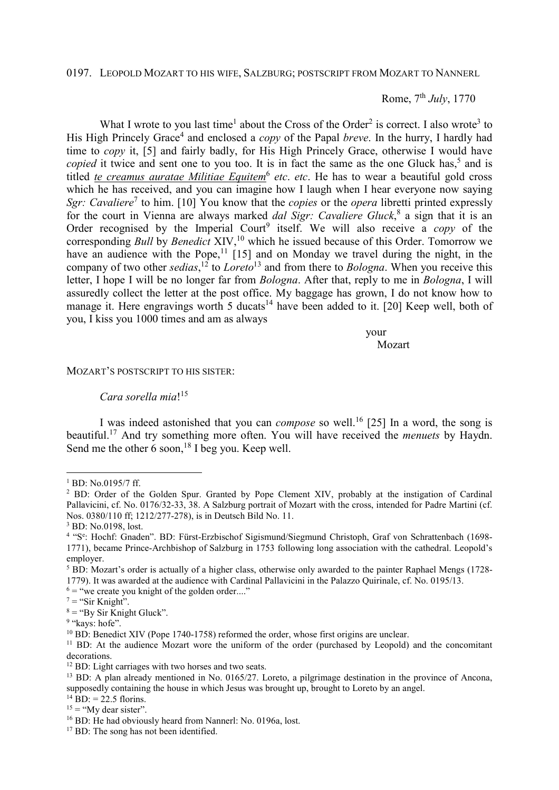## 0197. LEOPOLD MOZART TO HIS WIFE, SALZBURG; POSTSCRIPT FROM MOZART TO NANNERL

## Rome, 7th *July*, 1770

What I wrote to you last time<sup>1</sup> about the Cross of the Order<sup>2</sup> is correct. I also wrote<sup>3</sup> to His High Princely Grace<sup>4</sup> and enclosed a *copy* of the Papal *breve*. In the hurry, I hardly had time to *copy* it, [5] and fairly badly, for His High Princely Grace, otherwise I would have copied it twice and sent one to you too. It is in fact the same as the one Gluck has,<sup>5</sup> and is titled *te creamus auratae Militiae Equitem*<sup>6</sup> etc. etc. He has to wear a beautiful gold cross which he has received, and you can imagine how I laugh when I hear everyone now saying Sgr: Cavaliere<sup>7</sup> to him. [10] You know that the *copies* or the *opera* libretti printed expressly for the court in Vienna are always marked *dal Sigr: Cavaliere Gluck*,<sup>8</sup> a sign that it is an Order recognised by the Imperial Court<sup>9</sup> itself. We will also receive a *copy* of the corresponding *Bull* by *Benedict* XIV,<sup>10</sup> which he issued because of this Order. Tomorrow we have an audience with the Pope,<sup>11</sup> [15] and on Monday we travel during the night, in the company of two other *sedias*, <sup>12</sup> to *Loreto*<sup>13</sup> and from there to *Bologna*. When you receive this letter, I hope I will be no longer far from *Bologna*. After that, reply to me in *Bologna*, I will assuredly collect the letter at the post office. My baggage has grown, I do not know how to manage it. Here engravings worth 5 ducats<sup>14</sup> have been added to it. [20] Keep well, both of you, I kiss you 1000 times and am as always

your

Mozart November 2014

## MOZART'S POSTSCRIPT TO HIS SISTER:

## *Cara sorella mia*! 15

I was indeed astonished that you can *compose* so well.<sup>16</sup> [25] In a word, the song is beautiful.<sup>17</sup> And try something more often. You will have received the *menuets* by Haydn. Send me the other  $\vec{6}$  soon,<sup>18</sup> I beg you. Keep well.

 $\overline{a}$ 

 $6 =$  "we create you knight of the golden order...."

<sup>1</sup> BD: No.0195/7 ff.

<sup>&</sup>lt;sup>2</sup> BD: Order of the Golden Spur. Granted by Pope Clement XIV, probably at the instigation of Cardinal Pallavicini, cf. No. 0176/32-33, 38. A Salzburg portrait of Mozart with the cross, intended for Padre Martini (cf. Nos. 0380/110 ff; 1212/277-278), is in Deutsch Bild No. 11.

<sup>3</sup> BD: No.0198, lost.

<sup>&</sup>lt;sup>4</sup> "Se: Hochf: Gnaden". BD: Fürst-Erzbischof Sigismund/Siegmund Christoph, Graf von Schrattenbach (1698-1771), became Prince-Archbishop of Salzburg in 1753 following long association with the cathedral. Leopold's employer.

<sup>&</sup>lt;sup>5</sup> BD: Mozart's order is actually of a higher class, otherwise only awarded to the painter Raphael Mengs (1728-1779). It was awarded at the audience with Cardinal Pallavicini in the Palazzo Quirinale, cf. No. 0195/13.

 $7 =$  "Sir Knight".

 $8 =$  "By Sir Knight Gluck".

<sup>&</sup>lt;sup>9</sup> "kays: hofe".

<sup>&</sup>lt;sup>10</sup> BD: Benedict XIV (Pope 1740-1758) reformed the order, whose first origins are unclear.

<sup>&</sup>lt;sup>11</sup> BD: At the audience Mozart wore the uniform of the order (purchased by Leopold) and the concomitant decorations.

<sup>&</sup>lt;sup>12</sup> BD: Light carriages with two horses and two seats.

<sup>&</sup>lt;sup>13</sup> BD: A plan already mentioned in No. 0165/27. Loreto, a pilgrimage destination in the province of Ancona, supposedly containing the house in which Jesus was brought up, brought to Loreto by an angel.

 $^{14}$  BD: = 22.5 florins.

 $15 =$  "My dear sister".

<sup>&</sup>lt;sup>16</sup> BD: He had obviously heard from Nannerl: No. 0196a, lost.

<sup>&</sup>lt;sup>17</sup> BD: The song has not been identified.